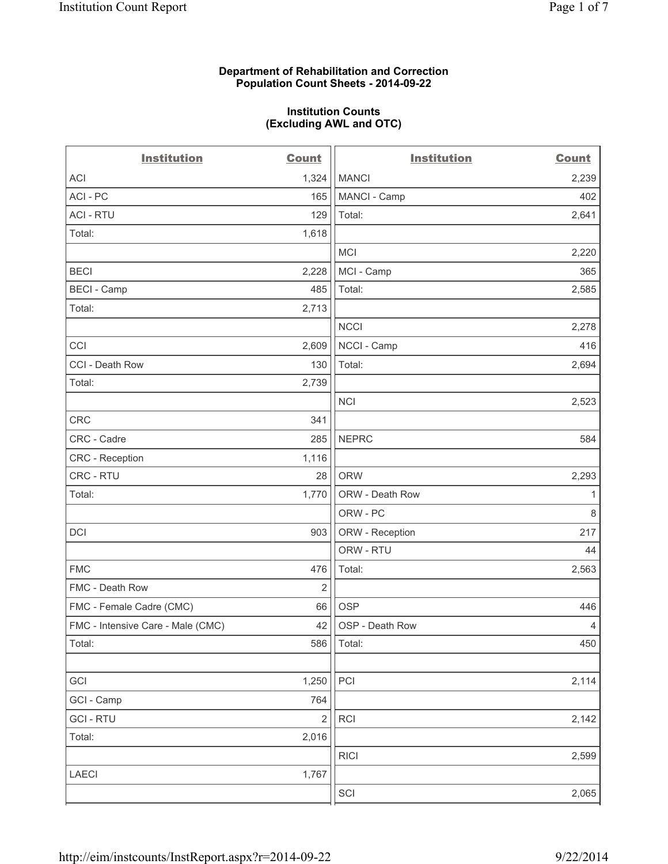### **Department of Rehabilitation and Correction Population Count Sheets - 2014-09-22**

#### **Institution Counts (Excluding AWL and OTC)**

| <b>Institution</b>                | <b>Count</b>            | <b>Institution</b> | <b>Count</b>   |
|-----------------------------------|-------------------------|--------------------|----------------|
| <b>ACI</b>                        | 1,324                   | <b>MANCI</b>       | 2,239          |
| ACI - PC                          | 165                     | MANCI - Camp       | 402            |
| <b>ACI - RTU</b>                  | 129                     | Total:             | 2,641          |
| Total:                            | 1,618                   |                    |                |
|                                   |                         | <b>MCI</b>         | 2,220          |
| <b>BECI</b>                       | 2,228                   | MCI - Camp         | 365            |
| <b>BECI - Camp</b>                | 485                     | Total:             | 2,585          |
| Total:                            | 2,713                   |                    |                |
|                                   |                         | <b>NCCI</b>        | 2,278          |
| CCI                               | 2,609                   | NCCI - Camp        | 416            |
| CCI - Death Row                   | 130                     | Total:             | 2,694          |
| Total:                            | 2,739                   |                    |                |
|                                   |                         | <b>NCI</b>         | 2,523          |
| CRC                               | 341                     |                    |                |
| CRC - Cadre                       | 285                     | <b>NEPRC</b>       | 584            |
| <b>CRC</b> - Reception            | 1,116                   |                    |                |
| CRC - RTU                         | 28                      | <b>ORW</b>         | 2,293          |
| Total:                            | 1,770                   | ORW - Death Row    | 1              |
|                                   |                         | ORW - PC           | $\,8\,$        |
| <b>DCI</b>                        | 903                     | ORW - Reception    | 217            |
|                                   |                         | ORW - RTU          | 44             |
| <b>FMC</b>                        | 476                     | Total:             | 2,563          |
| FMC - Death Row                   | 2                       |                    |                |
| FMC - Female Cadre (CMC)          | 66                      | <b>OSP</b>         | 446            |
| FMC - Intensive Care - Male (CMC) | 42                      | OSP - Death Row    | $\overline{4}$ |
| Total:                            | 586                     | Total:             | 450            |
|                                   |                         |                    |                |
| GCI                               | 1,250                   | PCI                | 2,114          |
| GCI - Camp                        | 764                     |                    |                |
| <b>GCI-RTU</b>                    | $\overline{\mathbf{c}}$ | <b>RCI</b>         | 2,142          |
| Total:                            | 2,016                   |                    |                |
|                                   |                         | <b>RICI</b>        | 2,599          |
| LAECI                             | 1,767                   |                    |                |
|                                   |                         | SCI                | 2,065          |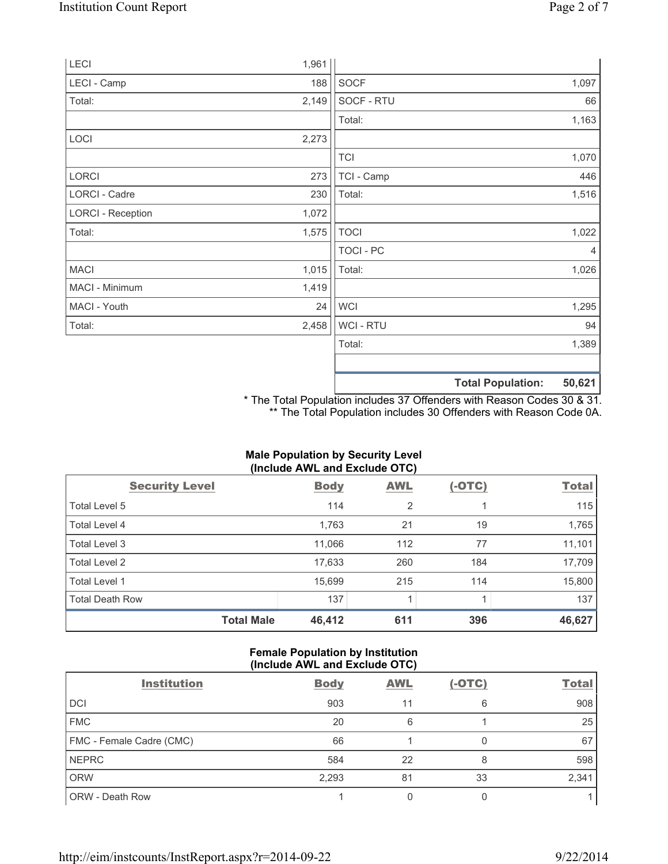| LECI                     | 1,961 |             |                          |        |
|--------------------------|-------|-------------|--------------------------|--------|
| LECI - Camp              | 188   | <b>SOCF</b> |                          | 1,097  |
| Total:                   | 2,149 | SOCF - RTU  |                          | 66     |
|                          |       | Total:      |                          | 1,163  |
| LOCI                     | 2,273 |             |                          |        |
|                          |       | <b>TCI</b>  |                          | 1,070  |
| <b>LORCI</b>             | 273   | TCI - Camp  |                          | 446    |
| LORCI - Cadre            | 230   | Total:      |                          | 1,516  |
| <b>LORCI - Reception</b> | 1,072 |             |                          |        |
| Total:                   | 1,575 | <b>TOCI</b> |                          | 1,022  |
|                          |       | TOCI - PC   |                          | 4      |
| <b>MACI</b>              | 1,015 | Total:      |                          | 1,026  |
| MACI - Minimum           | 1,419 |             |                          |        |
| MACI - Youth             | 24    | <b>WCI</b>  |                          | 1,295  |
| Total:                   | 2,458 | WCI - RTU   |                          | 94     |
|                          |       | Total:      |                          | 1,389  |
|                          |       |             | <b>Total Population:</b> | 50,621 |

\* The Total Population includes 37 Offenders with Reason Codes 30 & 31. \*\* The Total Population includes 30 Offenders with Reason Code 0A.

# **Male Population by Security Level (Include AWL and Exclude OTC)**

| <b>Security Level</b>  | <b>Body</b> | <b>AWL</b> | $(-OTC)$ | <b>Total</b> |
|------------------------|-------------|------------|----------|--------------|
| Total Level 5          | 114         | 2          |          | 115          |
| Total Level 4          | 1,763       | 21         | 19       | 1,765        |
| Total Level 3          | 11,066      | 112        | 77       | 11,101       |
| Total Level 2          | 17,633      | 260        | 184      | 17,709       |
| Total Level 1          | 15,699      | 215        | 114      | 15,800       |
| <b>Total Death Row</b> | 137         |            |          | 137          |
| <b>Total Male</b>      | 46,412      | 611        | 396      | 46,627       |

## **Female Population by Institution (Include AWL and Exclude OTC)**

| <b>Institution</b>       | <b>Body</b> | <b>AWL</b> | $(-OTC)$ | <b>Total</b> |
|--------------------------|-------------|------------|----------|--------------|
| <b>DCI</b>               | 903         | 11         | 6        | 908          |
| <b>FMC</b>               | 20          | 6          |          | 25           |
| FMC - Female Cadre (CMC) | 66          |            |          | 67           |
| <b>NEPRC</b>             | 584         | 22         | 8        | 598          |
| <b>ORW</b>               | 2,293       | 81         | 33       | 2,341        |
| <b>ORW - Death Row</b>   |             |            |          |              |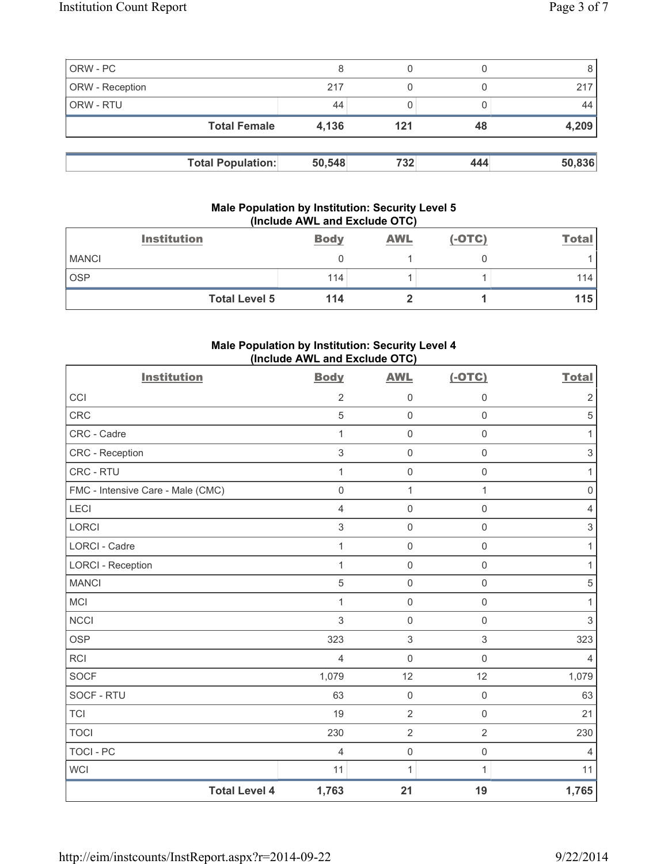|                 | <b>Total Population:</b> | 50,548 | 732 | 444 | 50,836 |
|-----------------|--------------------------|--------|-----|-----|--------|
|                 | <b>Total Female</b>      | 4,136  | 121 | 48  | 4,209  |
| ORW - RTU       |                          | 44     |     |     | 44     |
| ORW - Reception |                          | 217    |     |     | 217    |
| ORW - PC        |                          |        |     |     |        |

## **Male Population by Institution: Security Level 5 (Include AWL and Exclude OTC)**

| <b>Institution</b>   | <b>Body</b> | <b>AWL</b> | $(-OTC)$ | <b>Total</b> |
|----------------------|-------------|------------|----------|--------------|
| <b>MANCI</b>         |             |            |          |              |
| <b>OSP</b>           | 114         |            |          | 114          |
| <b>Total Level 5</b> | 114         |            |          | 115          |

# **Male Population by Institution: Security Level 4 (Include AWL and Exclude OTC)**

| <b>Institution</b>                | <b>Body</b>         | <b>AWL</b>          | $(-OTC)$            | <b>Total</b>        |
|-----------------------------------|---------------------|---------------------|---------------------|---------------------|
| CCI                               | 2                   | $\mathbf 0$         | $\mathbf 0$         | $\overline{2}$      |
| CRC                               | 5                   | $\mathsf{O}\xspace$ | 0                   | $\sqrt{5}$          |
| CRC - Cadre                       | 1                   | $\mathsf{O}\xspace$ | $\mathsf{O}\xspace$ | $\mathbf{1}$        |
| CRC - Reception                   | $\sqrt{3}$          | $\mathsf{O}\xspace$ | $\mathsf 0$         | $\sqrt{3}$          |
| CRC - RTU                         | $\mathbf{1}$        | $\mathsf{O}\xspace$ | $\mathsf{O}\xspace$ | $\mathbf{1}$        |
| FMC - Intensive Care - Male (CMC) | $\mathsf{O}\xspace$ | $\mathbf{1}$        | 1                   | $\mathsf{O}\xspace$ |
| <b>LECI</b>                       | 4                   | $\mathsf{O}\xspace$ | 0                   | 4                   |
| <b>LORCI</b>                      | $\mathsf 3$         | $\mathsf{O}\xspace$ | $\mathsf 0$         | $\sqrt{3}$          |
| LORCI - Cadre                     | 1                   | $\mathsf{O}\xspace$ | $\mathsf{O}\xspace$ | 1                   |
| <b>LORCI - Reception</b>          | $\mathbf{1}$        | $\mathsf{O}\xspace$ | 0                   | 1                   |
| <b>MANCI</b>                      | 5                   | $\mathbf 0$         | $\mathsf 0$         | $\sqrt{5}$          |
| <b>MCI</b>                        | 1                   | $\mathsf{O}\xspace$ | $\mathsf 0$         | 1                   |
| <b>NCCI</b>                       | $\sqrt{3}$          | $\mathsf 0$         | $\mathsf 0$         | $\sqrt{3}$          |
| <b>OSP</b>                        | 323                 | $\,$ 3 $\,$         | $\,$ 3 $\,$         | 323                 |
| <b>RCI</b>                        | $\overline{4}$      | $\mathsf 0$         | $\mathsf{O}\xspace$ | $\overline{4}$      |
| SOCF                              | 1,079               | 12                  | 12                  | 1,079               |
| SOCF - RTU                        | 63                  | $\mathsf{O}\xspace$ | $\mathsf 0$         | 63                  |
| <b>TCI</b>                        | 19                  | $\overline{2}$      | $\mathsf{O}\xspace$ | 21                  |
| <b>TOCI</b>                       | 230                 | $\overline{2}$      | $\overline{2}$      | 230                 |
| <b>TOCI - PC</b>                  | $\overline{4}$      | $\mathsf{O}\xspace$ | $\mathsf 0$         | $\overline{4}$      |
| <b>WCI</b>                        | 11                  | 1                   | 1                   | 11                  |
| <b>Total Level 4</b>              | 1,763               | 21                  | 19                  | 1,765               |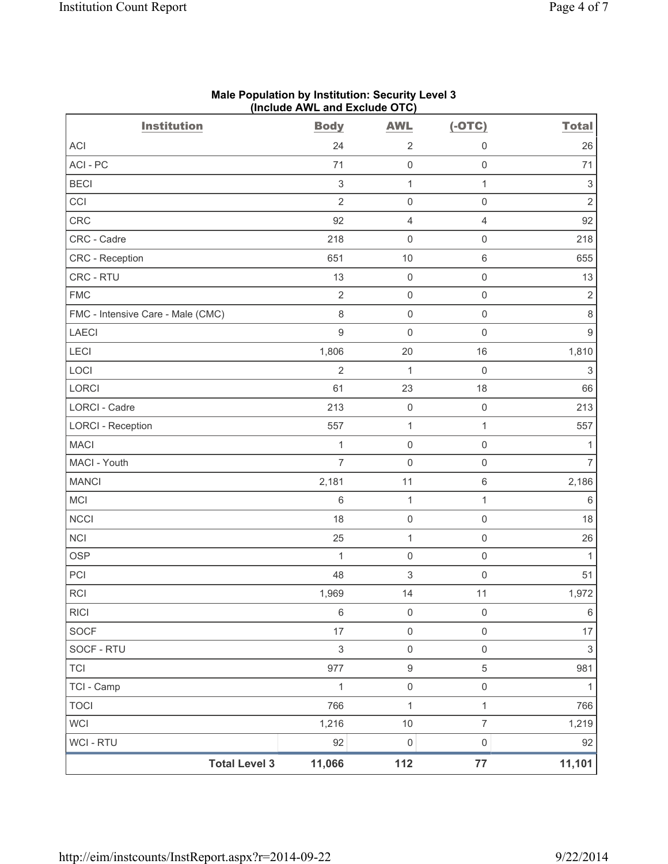| <b>Institution</b>                | (include AVVL and Exclude $O(O)$<br><b>Body</b> | <b>AWL</b>          | $(-OTC)$            | <b>Total</b>   |
|-----------------------------------|-------------------------------------------------|---------------------|---------------------|----------------|
| ACI                               | 24                                              | $\overline{2}$      | 0                   | 26             |
| ACI - PC                          | 71                                              | $\mathbf 0$         | $\mathsf{O}\xspace$ | 71             |
| <b>BECI</b>                       | $\sqrt{3}$                                      | 1                   | $\mathbf{1}$        | 3              |
| CCI                               | $\overline{2}$                                  | $\mathbf 0$         | $\mathsf 0$         | $\overline{2}$ |
| <b>CRC</b>                        | 92                                              | $\overline{4}$      | $\overline{4}$      | 92             |
| CRC - Cadre                       | 218                                             | $\mathbf 0$         | $\mathsf 0$         | 218            |
| CRC - Reception                   | 651                                             | 10                  | $\,$ 6 $\,$         | 655            |
| CRC - RTU                         | 13                                              | $\mathbf 0$         | $\mathsf{O}\xspace$ | 13             |
| <b>FMC</b>                        | $\overline{2}$                                  | $\mathsf{O}\xspace$ | $\mathsf 0$         | $\overline{2}$ |
| FMC - Intensive Care - Male (CMC) | $\,8\,$                                         | $\mathbf 0$         | $\mathsf{O}\xspace$ | $\,8\,$        |
| <b>LAECI</b>                      | $\hbox{9}$                                      | $\mathsf{O}\xspace$ | $\mathsf 0$         | $\hbox{9}$     |
| LECI                              | 1,806                                           | 20                  | 16                  | 1,810          |
| LOCI                              | $\overline{2}$                                  | $\mathbf 1$         | $\mathsf 0$         | $\,$ 3 $\,$    |
| <b>LORCI</b>                      | 61                                              | 23                  | 18                  | 66             |
| LORCI - Cadre                     | 213                                             | $\mathsf{O}\xspace$ | $\mathsf{O}\xspace$ | 213            |
| <b>LORCI - Reception</b>          | 557                                             | 1                   | $\mathbf{1}$        | 557            |
| <b>MACI</b>                       | 1                                               | $\mathsf{O}\xspace$ | $\mathsf{O}\xspace$ | 1              |
| MACI - Youth                      | $\overline{7}$                                  | $\mathbf 0$         | $\mathsf 0$         | $\overline{7}$ |
| <b>MANCI</b>                      | 2,181                                           | 11                  | $\,$ 6 $\,$         | 2,186          |
| MCI                               | 6                                               | $\mathbf{1}$        | $\mathbf{1}$        | $\,6$          |
| <b>NCCI</b>                       | 18                                              | $\mathsf{O}\xspace$ | $\mathsf 0$         | 18             |
| NCI                               | 25                                              | 1                   | $\mathsf 0$         | 26             |
| <b>OSP</b>                        | $\mathbf 1$                                     | $\mathsf{O}\xspace$ | $\mathsf 0$         | $\mathbf{1}$   |
| PCI                               | 48                                              | 3                   | $\mathbf 0$         | 51             |
| <b>RCI</b>                        | 1,969                                           | 14                  | 11                  | 1,972          |
| <b>RICI</b>                       | 6                                               | $\mathsf{O}\xspace$ | $\mathsf{O}\xspace$ | 6              |
| <b>SOCF</b>                       | 17                                              | $\mathsf{O}\xspace$ | $\mathsf{O}\xspace$ | 17             |
| SOCF - RTU                        | $\mathsf 3$                                     | $\mathsf{O}\xspace$ | $\mathsf{O}\xspace$ | $\mathfrak{S}$ |
| <b>TCI</b>                        | 977                                             | $\boldsymbol{9}$    | $\sqrt{5}$          | 981            |
| TCI - Camp                        | 1                                               | $\mathsf{O}\xspace$ | $\mathsf{O}\xspace$ | 1              |
| <b>TOCI</b>                       | 766                                             | $\mathbf 1$         | $\mathbf{1}$        | 766            |
| <b>WCI</b>                        | 1,216                                           | 10                  | $\overline{7}$      | 1,219          |
| WCI - RTU                         | 92                                              | $\mathbf 0$         | $\mathsf{O}\xspace$ | 92             |
| <b>Total Level 3</b>              | 11,066                                          | 112                 | $77\,$              | 11,101         |

#### **Male Population by Institution: Security Level 3 (Include AWL and Exclude OTC)**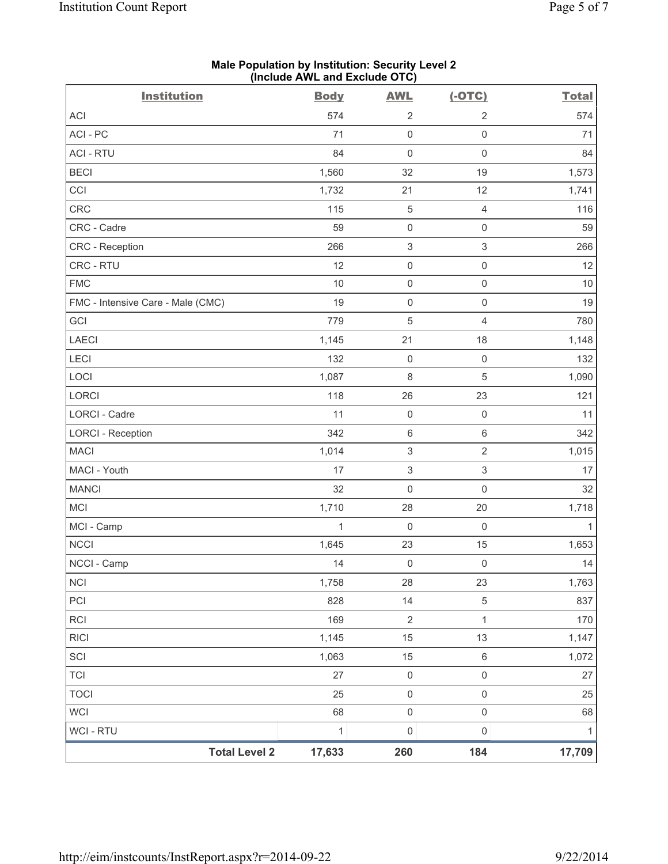| <b>Institution</b>                | <b>Body</b>  | <b>AWL</b>                | $(-OTC)$                  | <b>Total</b> |
|-----------------------------------|--------------|---------------------------|---------------------------|--------------|
| ACI                               | 574          | $\overline{2}$            | $\sqrt{2}$                | 574          |
| ACI-PC                            | 71           | $\mathsf{O}\xspace$       | $\mathsf{O}\xspace$       | 71           |
| <b>ACI - RTU</b>                  | 84           | $\mathsf{O}\xspace$       | $\mathsf{O}\xspace$       | 84           |
| <b>BECI</b>                       | 1,560        | 32                        | 19                        | 1,573        |
| CCI                               | 1,732        | 21                        | 12                        | 1,741        |
| CRC                               | 115          | $\mathbf 5$               | $\overline{4}$            | 116          |
| CRC - Cadre                       | 59           | $\mathsf 0$               | $\mathsf{O}\xspace$       | 59           |
| <b>CRC</b> - Reception            | 266          | $\ensuremath{\mathsf{3}}$ | $\mathsf 3$               | 266          |
| CRC - RTU                         | 12           | $\mathbf 0$               | $\mathsf{O}\xspace$       | 12           |
| <b>FMC</b>                        | 10           | $\mathsf{O}\xspace$       | $\mathsf{O}\xspace$       | 10           |
| FMC - Intensive Care - Male (CMC) | 19           | $\mathsf 0$               | $\mathsf 0$               | 19           |
| GCI                               | 779          | $\sqrt{5}$                | $\overline{4}$            | 780          |
| LAECI                             | 1,145        | 21                        | 18                        | 1,148        |
| LECI                              | 132          | $\mathsf{O}\xspace$       | $\mathsf{O}\xspace$       | 132          |
| LOCI                              | 1,087        | 8                         | 5                         | 1,090        |
| LORCI                             | 118          | 26                        | 23                        | 121          |
| <b>LORCI - Cadre</b>              | 11           | $\mathsf{O}\xspace$       | $\mathsf{O}\xspace$       | 11           |
| <b>LORCI - Reception</b>          | 342          | $\,6\,$                   | $\,6\,$                   | 342          |
| <b>MACI</b>                       | 1,014        | $\ensuremath{\mathsf{3}}$ | $\overline{2}$            | 1,015        |
| MACI - Youth                      | 17           | $\ensuremath{\mathsf{3}}$ | $\ensuremath{\mathsf{3}}$ | 17           |
| <b>MANCI</b>                      | 32           | $\mathsf{O}\xspace$       | $\mathsf 0$               | 32           |
| MCI                               | 1,710        | 28                        | 20                        | 1,718        |
| MCI - Camp                        | 1            | $\mathbf 0$               | $\mathsf{O}\xspace$       | 1            |
| <b>NCCI</b>                       | 1,645        | 23                        | 15                        | 1,653        |
| NCCI - Camp                       | 14           | $\mathsf{O}\xspace$       | $\mathsf{O}\xspace$       | 14           |
| <b>NCI</b>                        | 1,758        | 28                        | 23                        | 1,763        |
| PCI                               | 828          | 14                        | $\,$ 5 $\,$               | 837          |
| <b>RCI</b>                        | 169          | $\sqrt{2}$                | $\mathbf{1}$              | 170          |
| <b>RICI</b>                       | 1,145        | 15                        | 13                        | 1,147        |
| SCI                               | 1,063        | 15                        | $\,6\,$                   | 1,072        |
| <b>TCI</b>                        | 27           | $\mathsf{O}\xspace$       | $\mathsf{O}\xspace$       | 27           |
| <b>TOCI</b>                       | 25           | $\mathsf{O}\xspace$       | $\mathsf 0$               | 25           |
| <b>WCI</b>                        | 68           | $\mathsf 0$               | $\mathsf{O}\xspace$       | 68           |
| <b>WCI - RTU</b>                  | $\mathbf{1}$ | $\pmb{0}$                 | $\mathsf{O}\xspace$       | $\mathbf{1}$ |
| <b>Total Level 2</b>              | 17,633       | 260                       | 184                       | 17,709       |

**Male Population by Institution: Security Level 2 (Include AWL and Exclude OTC)**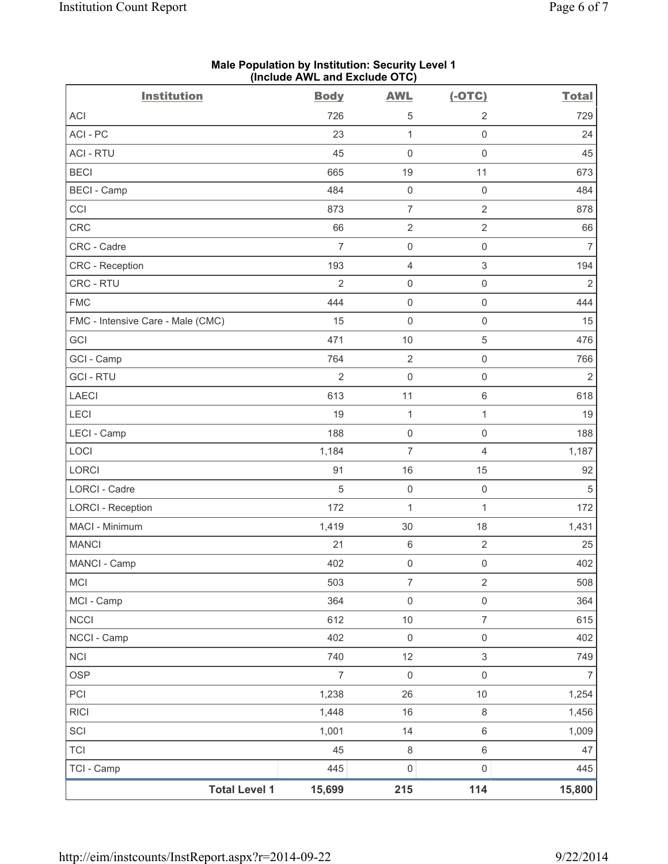| <b>Institution</b>                | <b>Body</b>    | <b>AWL</b>          | $(-OTC)$            | <b>Total</b>   |
|-----------------------------------|----------------|---------------------|---------------------|----------------|
| ACI                               | 726            | 5                   | $\overline{2}$      | 729            |
| ACI-PC                            | 23             | $\mathbf{1}$        | $\mathsf{O}\xspace$ | 24             |
| <b>ACI - RTU</b>                  | 45             | $\mathsf 0$         | $\mathsf 0$         | 45             |
| <b>BECI</b>                       | 665            | 19                  | 11                  | 673            |
| <b>BECI</b> - Camp                | 484            | $\mathbf 0$         | $\mathsf{O}\xspace$ | 484            |
| CCI                               | 873            | $\overline{7}$      | $\overline{2}$      | 878            |
| CRC                               | 66             | $\overline{2}$      | $\overline{2}$      | 66             |
| CRC - Cadre                       | $\overline{7}$ | $\mathbf 0$         | $\mathsf{O}\xspace$ | $\overline{7}$ |
| CRC - Reception                   | 193            | $\overline{4}$      | 3                   | 194            |
| CRC - RTU                         | $\overline{2}$ | $\mathsf{O}\xspace$ | $\mathsf{O}\xspace$ | $\overline{2}$ |
| <b>FMC</b>                        | 444            | $\mathsf{O}\xspace$ | $\mathsf{O}\xspace$ | 444            |
| FMC - Intensive Care - Male (CMC) | 15             | $\mathbf 0$         | $\mathsf 0$         | 15             |
| GCI                               | 471            | $10$                | $\,$ 5 $\,$         | 476            |
| GCI - Camp                        | 764            | $\mathbf 2$         | $\mathsf{O}\xspace$ | 766            |
| <b>GCI - RTU</b>                  | $\overline{2}$ | $\mathsf{O}\xspace$ | $\mathsf{O}\xspace$ | $\overline{2}$ |
| <b>LAECI</b>                      | 613            | 11                  | $\,6\,$             | 618            |
| LECI                              | 19             | $\mathbf{1}$        | $\mathbf{1}$        | 19             |
| LECI - Camp                       | 188            | $\mathsf{O}\xspace$ | $\mathsf{O}\xspace$ | 188            |
| LOCI                              | 1,184          | $\overline{7}$      | 4                   | 1,187          |
| LORCI                             | 91             | 16                  | 15                  | 92             |
| <b>LORCI - Cadre</b>              | 5              | $\mathbf 0$         | $\mathsf 0$         | $\sqrt{5}$     |
| <b>LORCI - Reception</b>          | 172            | $\mathbf{1}$        | $\mathbf{1}$        | 172            |
| MACI - Minimum                    | 1,419          | 30                  | 18                  | 1,431          |
| <b>MANCI</b>                      | 21             | $\,6\,$             | $\sqrt{2}$          | 25             |
| MANCI - Camp                      | 402            | 0                   | $\mathsf{O}\xspace$ | 402            |
| <b>MCI</b>                        | 503            | $\overline{7}$      | $\overline{2}$      | 508            |
| MCI - Camp                        | 364            | $\mathsf 0$         | $\mathsf{O}\xspace$ | 364            |
| NCCI                              | 612            | $10$                | $\overline{7}$      | 615            |
| NCCI - Camp                       | 402            | $\mathsf{O}\xspace$ | $\mathsf{O}\xspace$ | 402            |
| NCI                               | 740            | 12                  | 3                   | 749            |
| <b>OSP</b>                        | $\overline{7}$ | $\mathsf 0$         | $\mathsf 0$         | $\overline{7}$ |
| PCI                               | 1,238          | 26                  | 10                  | 1,254          |
| <b>RICI</b>                       | 1,448          | 16                  | $\,8\,$             | 1,456          |
| SCI                               | 1,001          | 14                  | $\,6\,$             | 1,009          |
| <b>TCI</b>                        | 45             | $\,8\,$             | $\,6\,$             | 47             |
| TCI - Camp                        | 445            | $\mathsf{O}\xspace$ | $\mathsf{O}\xspace$ | 445            |
| <b>Total Level 1</b>              | 15,699         | 215                 | 114                 | 15,800         |

#### **Male Population by Institution: Security Level 1 (Include AWL and Exclude OTC)**